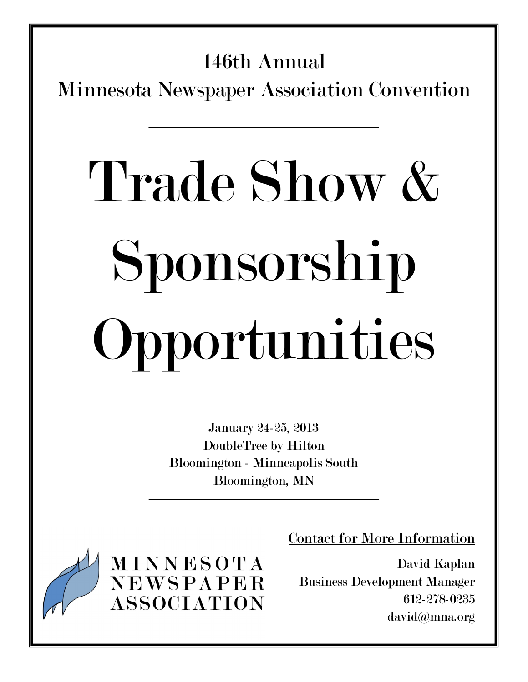# 146th Annual

Minnesota Newspaper Association Convention

# Trade Show & Sponsorship Opportunities

January 24-25, 2013 DoubleTree by Hilton Bloomington - Minneapolis South Bloomington, MN

**MINNESOTA** NEWSPAPER **ASSOCIATION**  Contact for More Information

David Kaplan Business Development Manager 612-278-0235 david@mna.org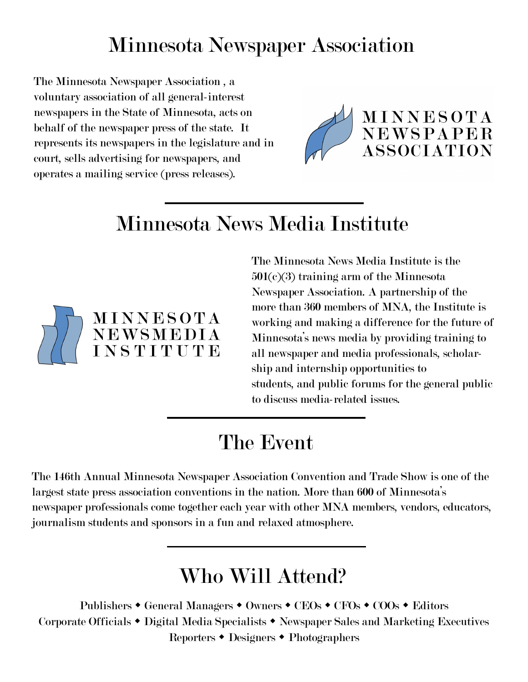### Minnesota Newspaper Association

The Minnesota Newspaper Association , a voluntary association of all general-interest newspapers in the State of Minnesota, acts on behalf of the newspaper press of the state. It represents its newspapers in the legislature and in court, sells advertising for newspapers, and operates a mailing service (press releases).



## Minnesota News Media Institute



The Minnesota News Media Institute is the 501(c)(3) training arm of the Minnesota Newspaper Association. A partnership of the more than 360 members of MNA, the Institute is working and making a difference for the future of Minnesota's news media by providing training to all newspaper and media professionals, scholarship and internship opportunities to students, and public forums for the general public to discuss media-related issues.

### The Event

The 146th Annual Minnesota Newspaper Association Convention and Trade Show is one of the largest state press association conventions in the nation. More than 600 of Minnesota's newspaper professionals come together each year with other MNA members, vendors, educators, journalism students and sponsors in a fun and relaxed atmosphere.

### Who Will Attend?

Publishers • General Managers • Owners • CEOs • CFOs • COOs • Editors Corporate Officials • Digital Media Specialists • Newspaper Sales and Marketing Executives Reporters • Designers • Photographers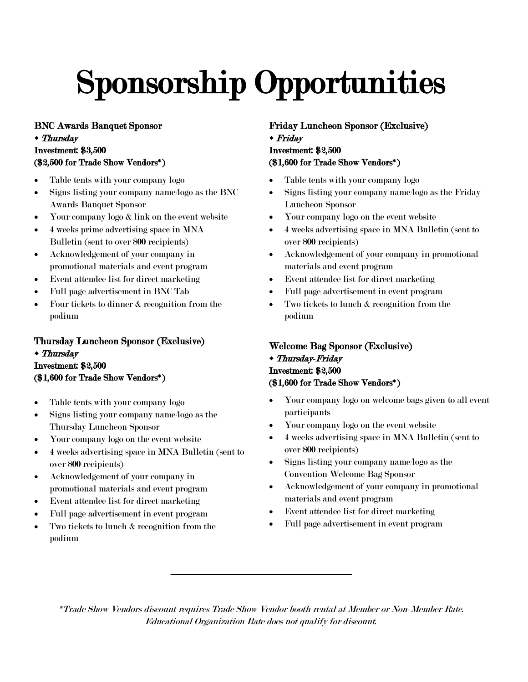# Sponsorship Opportunities

BNC Awards Banquet Sponsor

#### Thursday Investment: \$3,500

#### (\$2,500 for Trade Show Vendors\*)

- Table tents with your company logo
- Signs listing your company name/logo as the BNC Awards Banquet Sponsor
- Your company logo  $\&$  link on the event website
- 4 weeks prime advertising space in MNA Bulletin (sent to over 800 recipients)
- Acknowledgement of your company in promotional materials and event program
- Event attendee list for direct marketing
- Full page advertisement in BNC Tab
- Four tickets to dinner & recognition from the podium

#### Thursday Luncheon Sponsor (Exclusive) Thursday Investment: \$2,500 (\$1,600 for Trade Show Vendors\*)

- Table tents with your company logo
- Signs listing your company name/logo as the Thursday Luncheon Sponsor
- Your company logo on the event website
- 4 weeks advertising space in MNA Bulletin (sent to over 800 recipients)
- Acknowledgement of your company in promotional materials and event program
- Event attendee list for direct marketing
- Full page advertisement in event program
- Two tickets to lunch & recognition from the podium

Friday Luncheon Sponsor (Exclusive) Friday

#### Investment: \$2,500 (\$1,600 for Trade Show Vendors\*)

- Table tents with your company logo
- Signs listing your company name/logo as the Friday Luncheon Sponsor
- Your company logo on the event website
- 4 weeks advertising space in MNA Bulletin (sent to over 800 recipients)
- Acknowledgement of your company in promotional materials and event program
- Event attendee list for direct marketing
- Full page advertisement in event program
- Two tickets to lunch & recognition from the podium

#### Welcome Bag Sponsor (Exclusive)

#### Thursday-Friday Investment: \$2,500 (\$1,600 for Trade Show Vendors\*)

- Your company logo on welcome bags given to all event participants
- Your company logo on the event website
- 4 weeks advertising space in MNA Bulletin (sent to over 800 recipients)
- Signs listing your company name/logo as the Convention Welcome Bag Sponsor
- Acknowledgement of your company in promotional materials and event program
- Event attendee list for direct marketing
- Full page advertisement in event program

\*Trade Show Vendors discount requires Trade Show Vendor booth rental at Member or Non-Member Rate. Educational Organization Rate does not qualify for discount.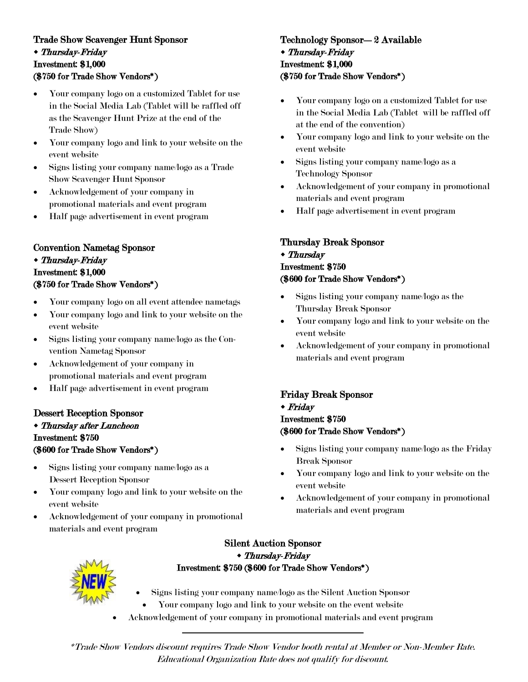#### Trade Show Scavenger Hunt Sponsor Thursday-Friday Investment: \$1,000 (\$750 for Trade Show Vendors\*)

- Your company logo on a customized Tablet for use in the Social Media Lab (Tablet will be raffled off as the Scavenger Hunt Prize at the end of the Trade Show)
- Your company logo and link to your website on the event website
- Signs listing your company name/logo as a Trade Show Scavenger Hunt Sponsor
- Acknowledgement of your company in promotional materials and event program
- Half page advertisement in event program

#### Convention Nametag Sponsor Thursday-Friday Investment: \$1,000 (\$750 for Trade Show Vendors\*)

- Your company logo on all event attendee nametags
- Your company logo and link to your website on the event website
- Signs listing your company name/logo as the Convention Nametag Sponsor
- Acknowledgement of your company in promotional materials and event program
- Half page advertisement in event program

#### Dessert Reception Sponsor

#### Thursday after Luncheon Investment: \$750 (\$600 for Trade Show Vendors\*)

- Signs listing your company name/logo as a Dessert Reception Sponsor
- Your company logo and link to your website on the event website
- Acknowledgement of your company in promotional materials and event program

#### Technology Sponsor—2 Available Thursday-Friday Investment: \$1,000 (\$750 for Trade Show Vendors\*)

- Your company logo on a customized Tablet for use in the Social Media Lab (Tablet will be raffled off at the end of the convention)
- Your company logo and link to your website on the event website
- Signs listing your company name/logo as a Technology Sponsor
- Acknowledgement of your company in promotional materials and event program
- Half page advertisement in event program

#### Thursday Break Sponsor Thursday Investment: \$750 (\$600 for Trade Show Vendors\*)

- Signs listing your company name/logo as the Thursday Break Sponsor
- Your company logo and link to your website on the event website
- Acknowledgement of your company in promotional materials and event program

#### Friday Break Sponsor

Friday

#### Investment: \$750 (\$600 for Trade Show Vendors\*)

- Signs listing your company name/logo as the Friday Break Sponsor
- Your company logo and link to your website on the event website
- Acknowledgement of your company in promotional materials and event program



#### Silent Auction Sponsor Thursday-Friday Investment: \$750 (\$600 for Trade Show Vendors\*)

- Signs listing your company name/logo as the Silent Auction Sponsor
	- Your company logo and link to your website on the event website
- Acknowledgement of your company in promotional materials and event program

\*Trade Show Vendors discount requires Trade Show Vendor booth rental at Member or Non-Member Rate. Educational Organization Rate does not qualify for discount.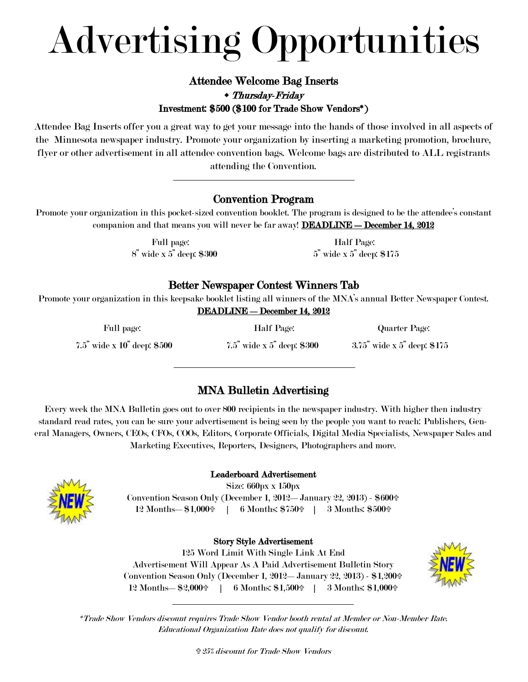# Advertising Opportunities

#### Attendee Welcome Bag Inserts Thursday-Friday Investment: \$500 (\$100 for Trade Show Vendors\*)

Attendee Bag Inserts offer you a great way to get your message into the hands of those involved in all aspects of the Minnesota newspaper industry. Promote your organization by inserting a marketing promotion, brochure, flyer or other advertisement in all attendee convention bags. Welcome bags are distributed to ALL registrants attending the Convention.

#### Convention Program

Promote your organization in this pocket-sized convention booklet. The program is designed to be the attendee's constant companion and that means you will never be far away! **DEADLINE — December 14, 2012** 

> Full page: Half Page:  $8^{\degree}$  wide x  $5^{\degree}$  deep: \$300  $5^{\degree}$  wide x  $5^{\degree}$  deep: \$175

#### Better Newspaper Contest Winners Tab

Promote your organization in this keepsake booklet listing all winners of the MNA's annual Better Newspaper Contest.

|  | <b>DEADLINE — December 14, 2012</b> |  |  |
|--|-------------------------------------|--|--|
|--|-------------------------------------|--|--|

| Full page:                            | Half Page:                       | Quarter Page:                  |
|---------------------------------------|----------------------------------|--------------------------------|
| $7.5^{"}$ wide x $10^{"}$ deep: \$500 | $7.5$ " wide x $5$ " deep: \$300 | $3.75$ " wide x 5" deep: \$175 |

#### MNA Bulletin Advertising

Every week the MNA Bulletin goes out to over 800 recipients in the newspaper industry. With higher then industry standard read rates, you can be sure your advertisement is being seen by the people you want to reach: Publishers, General Managers, Owners, CEOs, CFOs, COOs, Editors, Corporate Officials, Digital Media Specialists, Newspaper Sales and Marketing Executives, Reporters, Designers, Photographers and more.



#### Leaderboard Advertisement

Size: 660px x 150px Convention Season Only (December 1, 2012—January 22, 2013) - \$600 12 Months— $$1,000 \oplus 6$  Months:  $$750 \oplus 3$  Months:  $$500 \oplus 3$ 

#### Story Style Advertisement

125 Word Limit With Single Link At End Advertisement Will Appear As A Paid Advertisement Bulletin Story Convention Season Only (December 1, 2012—January 22, 2013) - \$1,200 12 Months— $\$2,000 \oplus 6$  Months:  $\$1,500 \oplus 3$  Months:  $\$1,000 \oplus 6$ 



\*Trade Show Vendors discount requires Trade Show Vendor booth rental at Member or Non-Member Rate. Educational Organization Rate does not qualify for discount.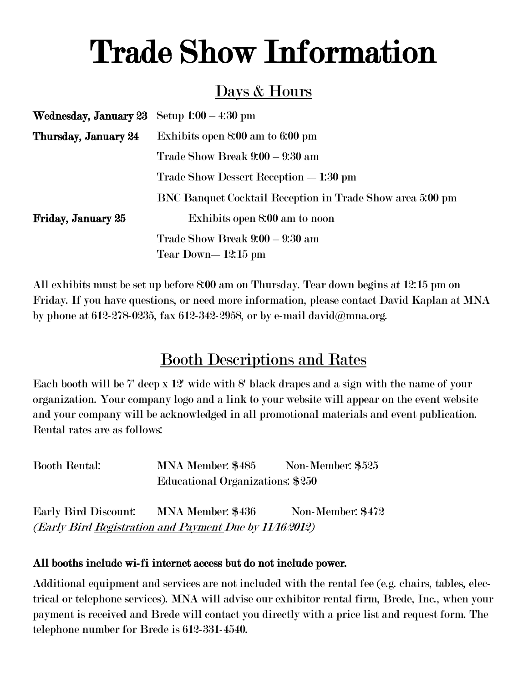# Trade Show Information

### Days & Hours

| <b>Wednesday, January 23</b> Setup $1:00-4:30$ pm |                                                           |
|---------------------------------------------------|-----------------------------------------------------------|
| Thursday, January 24                              | Exhibits open 8:00 am to 6:00 pm                          |
|                                                   | Trade Show Break 9:00 - 9:30 am                           |
|                                                   | Trade Show Dessert Reception — 1:30 pm                    |
|                                                   | BNC Banquet Cocktail Reception in Trade Show area 5:00 pm |
| Friday, January 25                                | Exhibits open 8:00 am to noon                             |
|                                                   | Trade Show Break 9:00 - 9:30 am                           |
|                                                   | Tear Down—12:15 pm                                        |

All exhibits must be set up before 8:00 am on Thursday. Tear down begins at 12:15 pm on Friday. If you have questions, or need more information, please contact David Kaplan at MNA by phone at 612-278-0235, fax 612-342-2958, or by e-mail david@mna.org.

### Booth Descriptions and Rates

Each booth will be 7' deep x 12' wide with 8' black drapes and a sign with the name of your organization. Your company logo and a link to your website will appear on the event website and your company will be acknowledged in all promotional materials and event publication. Rental rates are as follows:

| Booth Rental: | MNA Member: \$485                | Non-Member: \$525 |
|---------------|----------------------------------|-------------------|
|               | Educational Organizations: \$250 |                   |

Early Bird Discount: MNA Member: \$436 Non-Member: \$472 (Early Bird Registration and Payment Due by 11/16/2012)

#### All booths include wi-fi internet access but do not include power.

Additional equipment and services are not included with the rental fee (e.g. chairs, tables, electrical or telephone services). MNA will advise our exhibitor rental firm, Brede, Inc., when your payment is received and Brede will contact you directly with a price list and request form. The telephone number for Brede is 612-331-4540.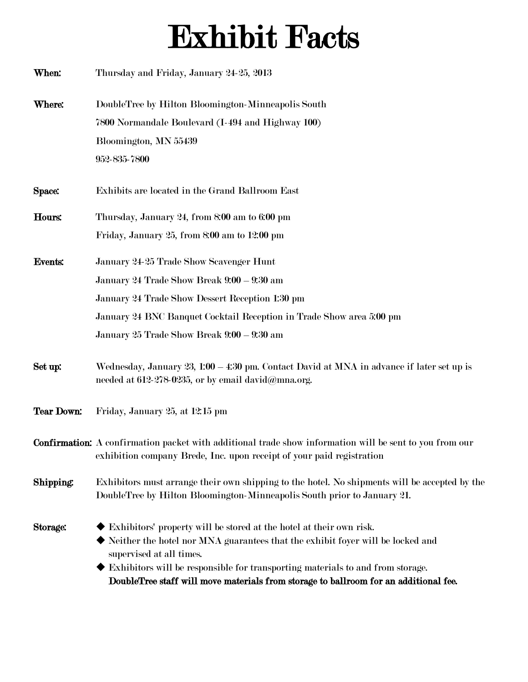# Exhibit Facts

| When:             | Thursday and Friday, January 24-25, 2013                                                                                                                                                                                                                                                            |
|-------------------|-----------------------------------------------------------------------------------------------------------------------------------------------------------------------------------------------------------------------------------------------------------------------------------------------------|
| Where:            | DoubleTree by Hilton Bloomington-Minneapolis South                                                                                                                                                                                                                                                  |
|                   | 7800 Normandale Boulevard (I-494 and Highway 100)                                                                                                                                                                                                                                                   |
|                   | Bloomington, MN 55439                                                                                                                                                                                                                                                                               |
|                   | 952-835-7800                                                                                                                                                                                                                                                                                        |
| Space:            | Exhibits are located in the Grand Ballroom East                                                                                                                                                                                                                                                     |
| Hours:            | Thursday, January 24, from 8:00 am to 6:00 pm                                                                                                                                                                                                                                                       |
|                   | Friday, January 25, from 8:00 am to 12:00 pm                                                                                                                                                                                                                                                        |
| <b>Events:</b>    | January 24-25 Trade Show Scavenger Hunt                                                                                                                                                                                                                                                             |
|                   | January 24 Trade Show Break 9:00 - 9:30 am                                                                                                                                                                                                                                                          |
|                   | January 24 Trade Show Dessert Reception 1:30 pm                                                                                                                                                                                                                                                     |
|                   | January 24 BNC Banquet Cocktail Reception in Trade Show area 5:00 pm                                                                                                                                                                                                                                |
|                   | January 25 Trade Show Break 9:00 - 9:30 am                                                                                                                                                                                                                                                          |
| Set up:           | Wednesday, January 23, 1:00 - 4:30 pm. Contact David at MNA in advance if later set up is<br>needed at 612-278-0235, or by email david@mna.org.                                                                                                                                                     |
| <b>Tear Down:</b> | Friday, January 25, at 12:15 pm                                                                                                                                                                                                                                                                     |
|                   | <b>Confirmation:</b> A confirmation packet with additional trade show information will be sent to you from our<br>exhibition company Brede, Inc. upon receipt of your paid registration                                                                                                             |
| Shipping:         | Exhibitors must arrange their own shipping to the hotel. No shipments will be accepted by the<br>DoubleTree by Hilton Bloomington-Minneapolis South prior to January 21.                                                                                                                            |
| Storage:          | Exhibitors' property will be stored at the hotel at their own risk.<br>$\blacklozenge$ Neither the hotel nor MNA guarantees that the exhibit foyer will be locked and<br>supervised at all times.<br>$\blacklozenge$ Exhibitors will be responsible for transporting materials to and from storage. |

DoubleTree staff will move materials from storage to ballroom for an additional fee.